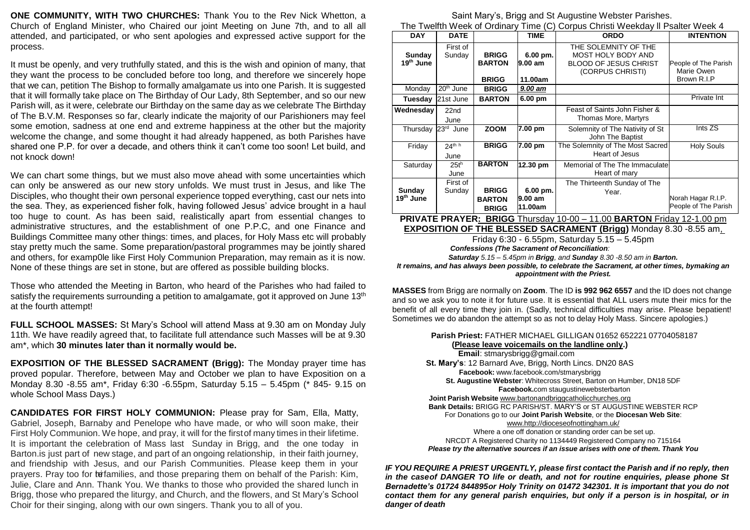**ONE COMMUNITY, WITH TWO CHURCHES:** Thank You to the Rev Nick Whetton, a Church of England Minister, who Chaired our joint Meeting on June 7th, and to all all attended, and participated, or who sent apologies and expressed active support for the process.

It must be openly, and very truthfully stated, and this is the wish and opinion of many, that they want the process to be concluded before too long, and therefore we sincerely hope that we can, petition The Bishop to formally amalgamate us into one Parish. It is suggested that it will formally take place on The Birthday of Our Lady, 8th September, and so our new Parish will, as it were, celebrate our Birthday on the same day as we celebrate The Birthday of The B.V.M. Responses so far, clearly indicate the majority of our Parishioners may feel some emotion, sadness at one end and extreme happiness at the other but the majority welcome the change, and some thought it had already happened, as both Parishes have shared one P.P. for over a decade, and others think it can't come too soon! Let build, and not knock down!

We can chart some things, but we must also move ahead with some uncertainties which can only be answered as our new story unfolds. We must trust in Jesus, and like The Disciples, who thought their own personal experience topped everything, cast our nets into the sea. They, as experienced fisher folk, having followed Jesus' advice brought in a haul too huge to count. As has been said, realistically apart from essential changes to administrative structures, and the establishment of one P.P.C, and one Finance and Buildings Committee many other things: times, and places, for Holy Mass etc will probably stay pretty much the same. Some preparation/pastoral programmes may be jointly shared and others, for examp0le like First Holy Communion Preparation, may remain as it is now. None of these things are set in stone, but are offered as possible building blocks.

Those who attended the Meeting in Barton, who heard of the Parishes who had failed to satisfy the requirements surrounding a petition to amalgamate, got it approved on June  $13<sup>th</sup>$ at the fourth attempt!

**FULL SCHOOL MASSES:** St Mary's School will attend Mass at 9.30 am on Monday July 11th. We have readily agreed that, to facilitate full attendance such Masses will be at 9.30 am\*, which **30 minutes later than it normally would be.**

**EXPOSITION OF THE BLESSED SACRAMENT (Brigg):** The Monday prayer time has proved popular. Therefore, between May and October we plan to have Exposition on a Monday 8.30 -8.55 am\*, Friday 6:30 -6.55pm, Saturday 5.15 – 5.45pm (\* 845- 9.15 on whole School Mass Days.)

**CANDIDATES FOR FIRST HOLY COMMUNION:** Please pray for Sam, Ella, Matty, Gabriel, Joseph, Barnaby and Penelope who have made, or who will soon make, their First Holy Communion. We hope, and pray, it will for the first of many times in their lifetime. It is important the celebration of Mass last Sunday in Brigg, and the one today in Barton.is just part of new stage, and part of an ongoing relationship, in their faith journey, and friendship with Jesus, and our Parish Communities. Please keep them in your prayers. Pray too for te families, and those preparing them on behalf of the Parish: Kim, Julie, Clare and Ann. Thank You. We thanks to those who provided the shared lunch in Brigg, those who prepared the liturgy, and Church, and the flowers, and St Mary's School Choir for their singing, along with our own singers. Thank you to all of you.

[Saint Mary's, Brigg a](http://www.facebook.com/)nd St Augustine Webster Parishes. The Twelfth Week of Ordinary Time (C) Corpus Christi Weekday ll Psalter Week 4

| THE TWEINT VYEEN OF ORIHALY TIME (O) COIDUS CHIISU VYEENGAY II F SANET VYEEN 4 |                          |               |             |                                            |                      |
|--------------------------------------------------------------------------------|--------------------------|---------------|-------------|--------------------------------------------|----------------------|
| <b>DAY</b>                                                                     | <b>DATE</b>              |               | <b>TIME</b> | <b>ORDO</b>                                | <b>INTENTION</b>     |
| Sunday                                                                         | First of<br>Sunday       | <b>BRIGG</b>  | 6.00 pm.    | THE SOLEMNITY OF THE<br>MOST HOLY BODY AND |                      |
| 19 <sup>th</sup> June                                                          |                          | <b>BARTON</b> | 9.00 am     | <b>BLOOD OF JESUS CHRIST</b>               | People of The Parish |
|                                                                                |                          |               |             | (CORPUS CHRISTI)                           | Marie Owen           |
|                                                                                |                          | <b>BRIGG</b>  | 11.00am     |                                            | Brown R.I.P          |
| Monday                                                                         | $20th$ June              | <b>BRIGG</b>  | 9.00 am     |                                            |                      |
| Tuesday                                                                        | 21st June                | <b>BARTON</b> | $6.00$ pm   |                                            | Private Int          |
| Wednesday                                                                      | 22nd                     |               |             | Feast of Saints John Fisher &              |                      |
|                                                                                | June                     |               |             | Thomas More, Martyrs                       |                      |
| Thursday                                                                       | 23 <sup>rd</sup><br>June | <b>ZOOM</b>   | 7.00 pm     | Solemnity of The Nativity of St            | Ints ZS              |
|                                                                                |                          |               |             | John The Baptist                           |                      |
| Friday                                                                         | 24th h                   | <b>BRIGG</b>  | 7.00 pm     | The Solemnity of The Most Sacred           | <b>Holy Souls</b>    |
|                                                                                | June                     |               |             | Heart of Jesus                             |                      |
| Saturday                                                                       | $25t^h$                  | <b>BARTON</b> | 12.30 pm    | Memorial of The The Immaculate             |                      |
|                                                                                | June                     |               |             | Heart of mary                              |                      |
|                                                                                | First of                 |               |             | The Thirteenth Sunday of The               |                      |
| Sunday                                                                         | Sunday                   | <b>BRIGG</b>  | 6.00 pm.    | Year.                                      |                      |
| 19 <sup>th</sup> June                                                          |                          | <b>BARTON</b> | 9.00 am     |                                            | Norah Hagar R.I.P.   |
|                                                                                |                          | <b>BRIGG</b>  | 11.00am     |                                            | People of The Parish |

**PRIVATE PRAYER: BRIGG** Thursday 10-00 – 11.00 **BARTON** Friday 12-1.00 pm **EXPOSITION OF THE BLESSED SACRAMENT (Brigg)** Monday 8.30 -8.55 am,

> Friday 6:30 - 6.55pm, Saturday 5.15 – 5.45pm *Confessions (The Sacrament of Reconciliation:*

*Saturday 5.15 – 5.45pm in Brigg, and Sunday 8.30 -8.50 am in Barton.*

*It remains, and has always been possible, to celebrate the Sacrament, at other times, bymaking an appointment with the Priest.*

**MASSES** from Brigg are normally on **Zoom**. The ID **is 992 962 6557** and the ID does not change and so we ask you to note it for future use. It is essential that ALL users mute their mics for the benefit of all every time they join in. (Sadly, technical difficulties may arise. Please bepatient! Sometimes we do abandon the attempt so as not to delay Holy Mass. Sincere apologies.)

| Parish Priest: FATHER MICHAEL GILLIGAN 01652 652221 07704058187                   |
|-----------------------------------------------------------------------------------|
| (Please leave voicemails on the landline only.)                                   |
| Email: stmarysbrigg@gmail.com                                                     |
| St. Mary's: 12 Barnard Ave, Brigg, North Lincs. DN20 8AS                          |
| Facebook: www.facebook.com/stmarysbrigg                                           |
| St. Augustine Webster: Whitecross Street, Barton on Humber, DN18 5DF              |
| Facebook.com staugustinewebsterbarton                                             |
| Joint Parish Website www.bartonandbriggcatholicchurches.org                       |
| <b>Bank Details: BRIGG RC PARISH/ST, MARY'S or ST AUGUSTINE WEBSTER RCP</b>       |
| For Donations go to our Joint Parish Website, or the Diocesan Web Site:           |
| www.http://dioceseofnottingham.uk/                                                |
| Where a one off donation or standing order can be set up.                         |
| NRCDT A Registered Charity no 1134449 Registered Company no 715164                |
| Please try the alternative sources if an issue arises with one of them. Thank You |

*IF YOU REQUIRE A PRIEST URGENTLY, please first contact the Parish and if no reply, then in the caseof DANGER TO life or death, and not for routine enquiries, please phone St Bernadette's [01724 844895o](https://www.google.com/search?q=st%20bernadettes%20scunthorpe&rlz=1CAKDUD_enGB974&oq=st%2Bbernadettes%2Bscunthorpe%2B&aqs=chrome..69i57j69i64.15510j0j7&sourceid=chrome&ie=UTF-8&tbs=lf%3A1%2Clf_ui%3A2&tbm=lcl&sxsrf=APq-WBvbcaUWzdy8EtAFFPDP8xRROR6pqA%3A1644234951112&rflfq=1&num=10&rldimm=6037351907973197580&lqi=ChlzdCBiZXJuYWRldHRlcyBzY3VudGhvcnBlSJf3ivqsj4CACFolEAAQARgAGAEYAiIZc3QgYmVybmFkZXR0ZXMgc2N1bnRob3JwZZIBBmNodXJjaKoBFhABKhIiDnN0IGJlcm5hZGV0dGVzKAA&ved=2ahUKEwjhosDBxO31AhXeQ0EAHUg6Bb8QvS56BAgEEF0&rlst=f)r Holy Trinity on 01472 342301. It is important that you do not contact them for any general parish enquiries, but only if a person is in hospital, or in danger of death*